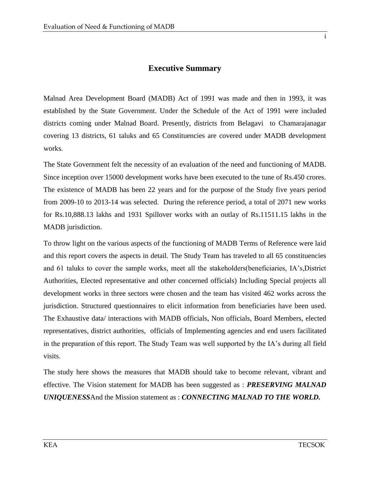## **Executive Summary**

Malnad Area Development Board (MADB) Act of 1991 was made and then in 1993, it was established by the State Government. Under the Schedule of the Act of 1991 were included districts coming under Malnad Board. Presently, districts from Belagavi to Chamarajanagar covering 13 districts, 61 taluks and 65 Constituencies are covered under MADB development works.

The State Government felt the necessity of an evaluation of the need and functioning of MADB. Since inception over 15000 development works have been executed to the tune of Rs.450 crores. The existence of MADB has been 22 years and for the purpose of the Study five years period from 2009-10 to 2013-14 was selected. During the reference period, a total of 2071 new works for Rs.10,888.13 lakhs and 1931 Spillover works with an outlay of Rs.11511.15 lakhs in the MADB jurisdiction.

To throw light on the various aspects of the functioning of MADB Terms of Reference were laid and this report covers the aspects in detail. The Study Team has traveled to all 65 constituencies and 61 taluks to cover the sample works, meet all the stakeholders(beneficiaries, IA's,District Authorities, Elected representative and other concerned officials) Including Special projects all development works in three sectors were chosen and the team has visited 462 works across the jurisdiction. Structured questionnaires to elicit information from beneficiaries have been used. The Exhaustive data/ interactions with MADB officials, Non officials, Board Members, elected representatives, district authorities, officials of Implementing agencies and end users facilitated in the preparation of this report. The Study Team was well supported by the IA's during all field visits.

The study here shows the measures that MADB should take to become relevant, vibrant and effective. The Vision statement for MADB has been suggested as : *PRESERVING MALNAD UNIQUENESS*And the Mission statement as : *CONNECTING MALNAD TO THE WORLD.*

i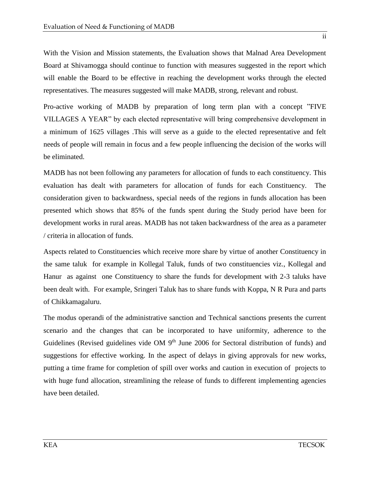With the Vision and Mission statements, the Evaluation shows that Malnad Area Development Board at Shivamogga should continue to function with measures suggested in the report which will enable the Board to be effective in reaching the development works through the elected representatives. The measures suggested will make MADB, strong, relevant and robust.

Pro-active working of MADB by preparation of long term plan with a concept "FIVE VILLAGES A YEAR" by each elected representative will bring comprehensive development in a minimum of 1625 villages .This will serve as a guide to the elected representative and felt needs of people will remain in focus and a few people influencing the decision of the works will be eliminated.

MADB has not been following any parameters for allocation of funds to each constituency. This evaluation has dealt with parameters for allocation of funds for each Constituency. The consideration given to backwardness, special needs of the regions in funds allocation has been presented which shows that 85% of the funds spent during the Study period have been for development works in rural areas. MADB has not taken backwardness of the area as a parameter / criteria in allocation of funds.

Aspects related to Constituencies which receive more share by virtue of another Constituency in the same taluk for example in Kollegal Taluk, funds of two constituencies viz., Kollegal and Hanur as against one Constituency to share the funds for development with 2-3 taluks have been dealt with. For example, Sringeri Taluk has to share funds with Koppa, N R Pura and parts of Chikkamagaluru.

The modus operandi of the administrative sanction and Technical sanctions presents the current scenario and the changes that can be incorporated to have uniformity, adherence to the Guidelines (Revised guidelines vide OM  $9<sup>th</sup>$  June 2006 for Sectoral distribution of funds) and suggestions for effective working. In the aspect of delays in giving approvals for new works, putting a time frame for completion of spill over works and caution in execution of projects to with huge fund allocation, streamlining the release of funds to different implementing agencies have been detailed.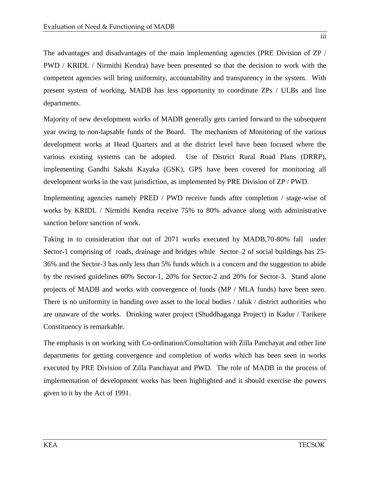The advantages and disadvantages of the main implementing agencies (PRE Division of ZP / PWD / KRIDL / Nirmithi Kendra) have been presented so that the decision to work with the competent agencies will bring uniformity, accountability and transparency in the system. With present system of working, MADB has less opportunity to coordinate ZPs / ULBs and line departments.

Majority of new development works of MADB generally gets carried forward to the subsequent year owing to non-lapsable funds of the Board. The mechanism of Monitoring of the various development works at Head Quarters and at the district level have been focused where the various existing systems can be adopted. Use of District Rural Road Plans (DRRP), implementing Gandhi Sakshi Kayaka (GSK), GPS have been covered for monitoring all development works in the vast jurisdiction, as implemented by PRE Division of ZP / PWD.

Implementing agencies namely PRED / PWD receive funds after completion / stage-wise of works by KRIDL / Nirmithi Kendra receive 75% to 80% advance along with administrative sanction before sanction of work.

Taking in to consideration that out of 2071 works executed by MADB,70-80% fall under Sector-1 comprising of roads, drainage and bridges while Sector–2 of social buildings has 25- 36% and the Sector-3 has only less than 5% funds which is a concern and the suggestion to abide by the revised guidelines 60% Sector-1, 20% for Sector-2 and 20% for Sector-3. Stand alone projects of MADB and works with convergence of funds (MP / MLA funds) have been seen. There is no uniformity in handing over asset to the local bodies / taluk / district authorities who are unaware of the works. Drinking water project (Shuddhaganga Project) in Kadur / Tarikere Constituency is remarkable.

The emphasis is on working with Co-ordination/Consultation with Zilla Panchayat and other line departments for getting convergence and completion of works which has been seen in works executed by PRE Division of Zilla Panchayat and PWD. The role of MADB in the process of implementation of development works has been highlighted and it should exercise the powers given to it by the Act of 1991.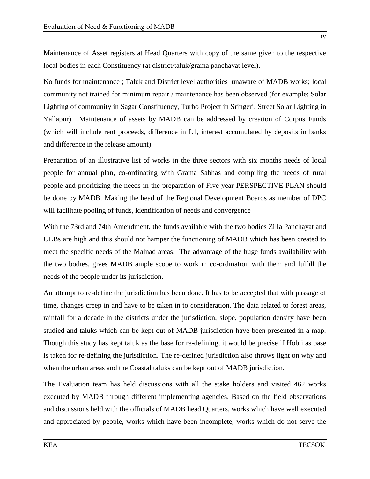No funds for maintenance ; Taluk and District level authorities unaware of MADB works; local community not trained for minimum repair / maintenance has been observed (for example: Solar Lighting of community in Sagar Constituency, Turbo Project in Sringeri, Street Solar Lighting in Yallapur). Maintenance of assets by MADB can be addressed by creation of Corpus Funds (which will include rent proceeds, difference in L1, interest accumulated by deposits in banks and difference in the release amount).

Preparation of an illustrative list of works in the three sectors with six months needs of local people for annual plan, co-ordinating with Grama Sabhas and compiling the needs of rural people and prioritizing the needs in the preparation of Five year PERSPECTIVE PLAN should be done by MADB. Making the head of the Regional Development Boards as member of DPC will facilitate pooling of funds, identification of needs and convergence

With the 73rd and 74th Amendment, the funds available with the two bodies Zilla Panchayat and ULBs are high and this should not hamper the functioning of MADB which has been created to meet the specific needs of the Malnad areas. The advantage of the huge funds availability with the two bodies, gives MADB ample scope to work in co-ordination with them and fulfill the needs of the people under its jurisdiction.

An attempt to re-define the jurisdiction has been done. It has to be accepted that with passage of time, changes creep in and have to be taken in to consideration. The data related to forest areas, rainfall for a decade in the districts under the jurisdiction, slope, population density have been studied and taluks which can be kept out of MADB jurisdiction have been presented in a map. Though this study has kept taluk as the base for re-defining, it would be precise if Hobli as base is taken for re-defining the jurisdiction. The re-defined jurisdiction also throws light on why and when the urban areas and the Coastal taluks can be kept out of MADB jurisdiction.

The Evaluation team has held discussions with all the stake holders and visited 462 works executed by MADB through different implementing agencies. Based on the field observations and discussions held with the officials of MADB head Quarters, works which have well executed and appreciated by people, works which have been incomplete, works which do not serve the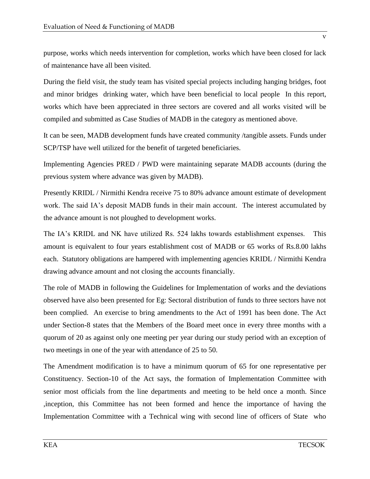purpose, works which needs intervention for completion, works which have been closed for lack of maintenance have all been visited.

During the field visit, the study team has visited special projects including hanging bridges, foot and minor bridges drinking water, which have been beneficial to local people In this report, works which have been appreciated in three sectors are covered and all works visited will be compiled and submitted as Case Studies of MADB in the category as mentioned above.

It can be seen, MADB development funds have created community /tangible assets. Funds under SCP/TSP have well utilized for the benefit of targeted beneficiaries.

Implementing Agencies PRED / PWD were maintaining separate MADB accounts (during the previous system where advance was given by MADB).

Presently KRIDL / Nirmithi Kendra receive 75 to 80% advance amount estimate of development work. The said IA's deposit MADB funds in their main account. The interest accumulated by the advance amount is not ploughed to development works.

The IA's KRIDL and NK have utilized Rs. 524 lakhs towards establishment expenses. This amount is equivalent to four years establishment cost of MADB or 65 works of Rs.8.00 lakhs each. Statutory obligations are hampered with implementing agencies KRIDL / Nirmithi Kendra drawing advance amount and not closing the accounts financially.

The role of MADB in following the Guidelines for Implementation of works and the deviations observed have also been presented for Eg: Sectoral distribution of funds to three sectors have not been complied. An exercise to bring amendments to the Act of 1991 has been done. The Act under Section-8 states that the Members of the Board meet once in every three months with a quorum of 20 as against only one meeting per year during our study period with an exception of two meetings in one of the year with attendance of 25 to 50.

The Amendment modification is to have a minimum quorum of 65 for one representative per Constituency. Section-10 of the Act says, the formation of Implementation Committee with senior most officials from the line departments and meeting to be held once a month. Since ,inception, this Committee has not been formed and hence the importance of having the Implementation Committee with a Technical wing with second line of officers of State who